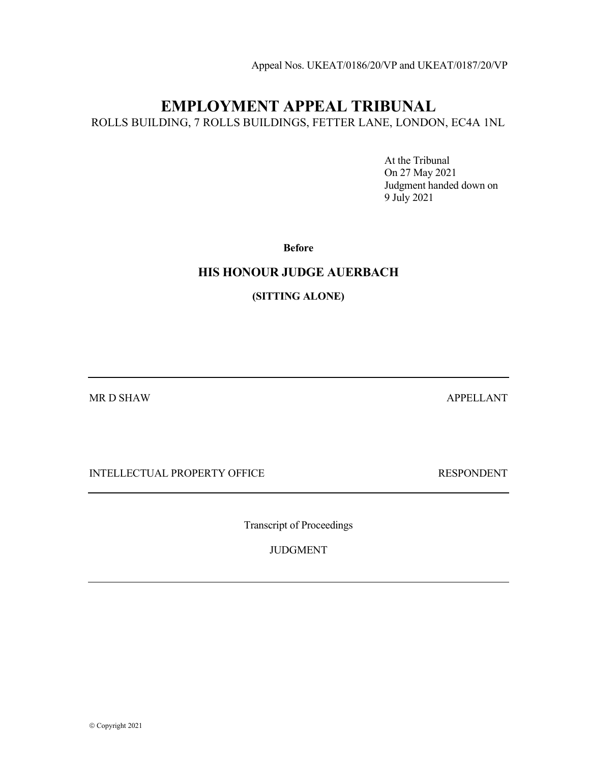Copyright 2021

Appeal Nos. UKEAT/0186/20/VP and UKEAT/0187/20/VP

# EMPLOYMENT APPEAL TRIBUNAL

ROLLS BUILDING, 7 ROLLS BUILDINGS, FETTER LANE, LONDON, EC4A 1NL

 At the Tribunal On 27 May 2021 Judgment handed down on 9 July 2021

Before

# HIS HONOUR JUDGE AUERBACH

(SITTING ALONE)

MR D SHAW APPELLANT

INTELLECTUAL PROPERTY OFFICE RESPONDENT

Transcript of Proceedings

JUDGMENT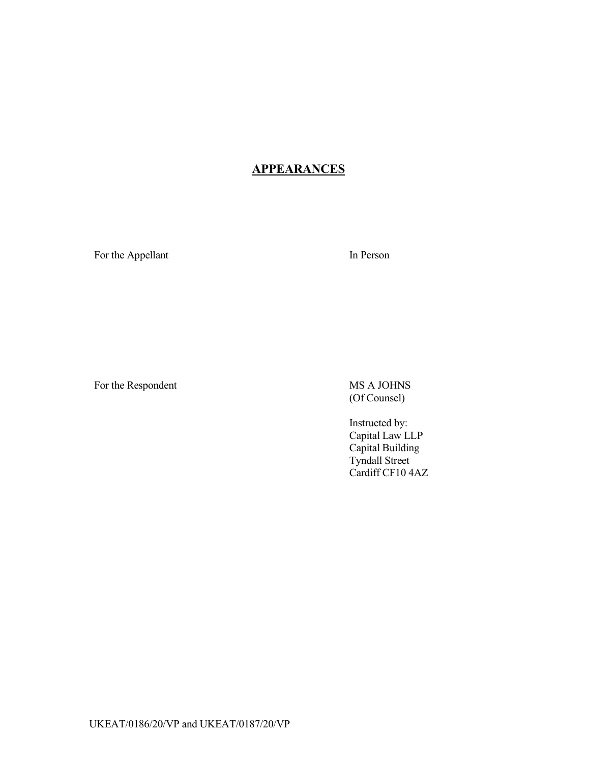# **APPEARANCES**

For the Appellant In Person

For the Respondent MS A JOHNS

(Of Counsel)

Instructed by: Capital Law LLP Capital Building Tyndall Street Cardiff CF10 4AZ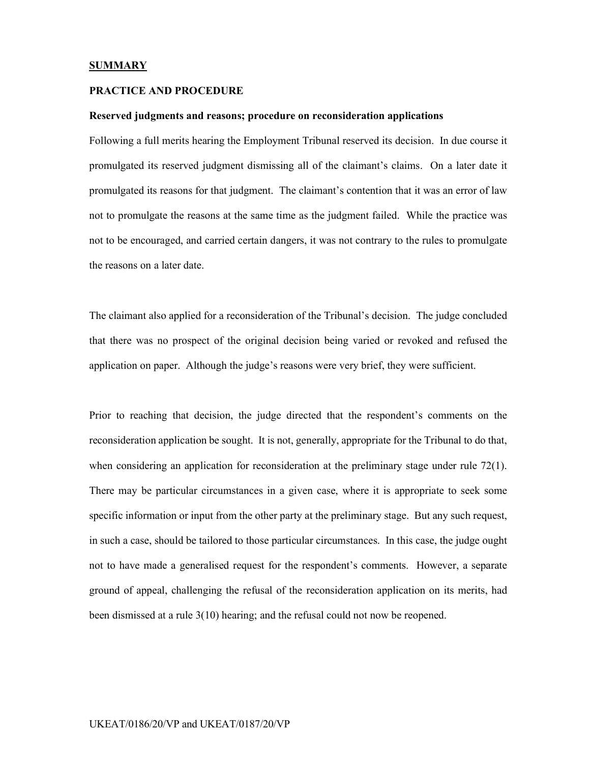### SUMMARY

### PRACTICE AND PROCEDURE

### Reserved judgments and reasons; procedure on reconsideration applications

Following a full merits hearing the Employment Tribunal reserved its decision. In due course it promulgated its reserved judgment dismissing all of the claimant's claims. On a later date it promulgated its reasons for that judgment. The claimant's contention that it was an error of law not to promulgate the reasons at the same time as the judgment failed. While the practice was not to be encouraged, and carried certain dangers, it was not contrary to the rules to promulgate the reasons on a later date.

The claimant also applied for a reconsideration of the Tribunal's decision. The judge concluded that there was no prospect of the original decision being varied or revoked and refused the application on paper. Although the judge's reasons were very brief, they were sufficient.

Prior to reaching that decision, the judge directed that the respondent's comments on the reconsideration application be sought. It is not, generally, appropriate for the Tribunal to do that, when considering an application for reconsideration at the preliminary stage under rule 72(1). There may be particular circumstances in a given case, where it is appropriate to seek some specific information or input from the other party at the preliminary stage. But any such request, in such a case, should be tailored to those particular circumstances. In this case, the judge ought not to have made a generalised request for the respondent's comments. However, a separate ground of appeal, challenging the refusal of the reconsideration application on its merits, had been dismissed at a rule 3(10) hearing; and the refusal could not now be reopened.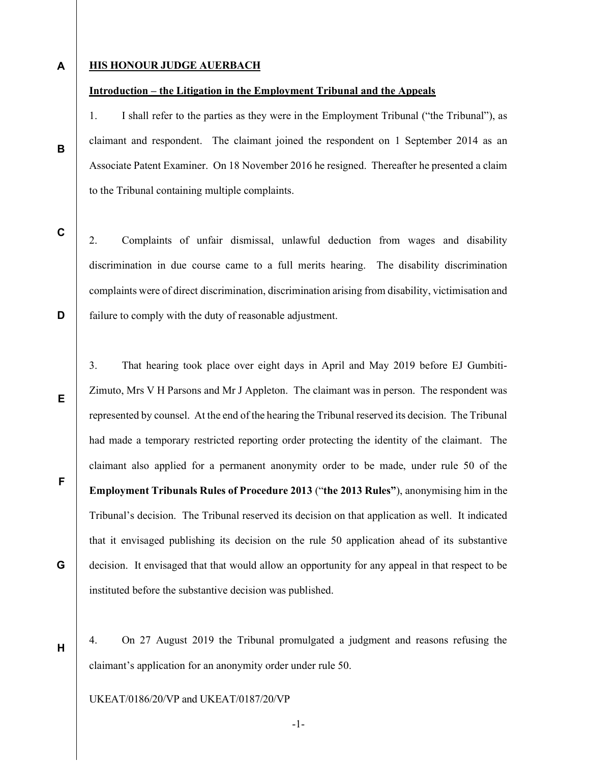A

B

# HIS HONOUR JUDGE AUERBACH

# Introduction – the Litigation in the Employment Tribunal and the Appeals

1. I shall refer to the parties as they were in the Employment Tribunal ("the Tribunal"), as claimant and respondent. The claimant joined the respondent on 1 September 2014 as an Associate Patent Examiner. On 18 November 2016 he resigned. Thereafter he presented a claim to the Tribunal containing multiple complaints.

C

D

E

F

G

2. Complaints of unfair dismissal, unlawful deduction from wages and disability discrimination in due course came to a full merits hearing. The disability discrimination complaints were of direct discrimination, discrimination arising from disability, victimisation and failure to comply with the duty of reasonable adjustment.

3. That hearing took place over eight days in April and May 2019 before EJ Gumbiti-Zimuto, Mrs V H Parsons and Mr J Appleton. The claimant was in person. The respondent was represented by counsel. At the end of the hearing the Tribunal reserved its decision. The Tribunal had made a temporary restricted reporting order protecting the identity of the claimant. The claimant also applied for a permanent anonymity order to be made, under rule 50 of the Employment Tribunals Rules of Procedure 2013 ("the 2013 Rules"), anonymising him in the Tribunal's decision. The Tribunal reserved its decision on that application as well. It indicated that it envisaged publishing its decision on the rule 50 application ahead of its substantive decision. It envisaged that that would allow an opportunity for any appeal in that respect to be instituted before the substantive decision was published.

H

4. On 27 August 2019 the Tribunal promulgated a judgment and reasons refusing the claimant's application for an anonymity order under rule 50.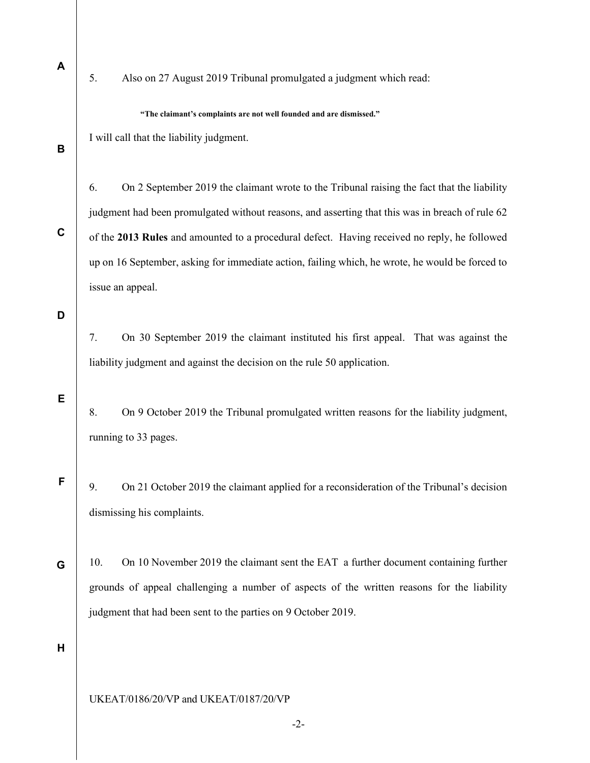A

B

C

5. Also on 27 August 2019 Tribunal promulgated a judgment which read:

"The claimant's complaints are not well founded and are dismissed."

I will call that the liability judgment.

6. On 2 September 2019 the claimant wrote to the Tribunal raising the fact that the liability judgment had been promulgated without reasons, and asserting that this was in breach of rule 62 of the 2013 Rules and amounted to a procedural defect. Having received no reply, he followed up on 16 September, asking for immediate action, failing which, he wrote, he would be forced to issue an appeal.

D

E

F

7. On 30 September 2019 the claimant instituted his first appeal. That was against the liability judgment and against the decision on the rule 50 application.

8. On 9 October 2019 the Tribunal promulgated written reasons for the liability judgment, running to 33 pages.

9. On 21 October 2019 the claimant applied for a reconsideration of the Tribunal's decision dismissing his complaints.

G

10. On 10 November 2019 the claimant sent the EAT a further document containing further grounds of appeal challenging a number of aspects of the written reasons for the liability judgment that had been sent to the parties on 9 October 2019.

H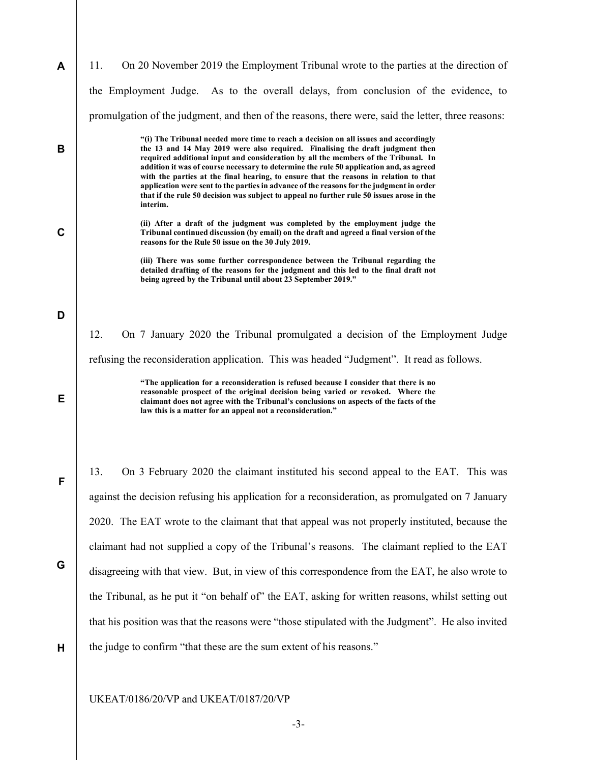| A           | 11.<br>On 20 November 2019 the Employment Tribunal wrote to the parties at the direction of                                                                                                                                                                                                                                                                                                                                                                                                                                                                                                                                                          |
|-------------|------------------------------------------------------------------------------------------------------------------------------------------------------------------------------------------------------------------------------------------------------------------------------------------------------------------------------------------------------------------------------------------------------------------------------------------------------------------------------------------------------------------------------------------------------------------------------------------------------------------------------------------------------|
|             | the Employment Judge.<br>As to the overall delays, from conclusion of the evidence, to                                                                                                                                                                                                                                                                                                                                                                                                                                                                                                                                                               |
|             | promulgation of the judgment, and then of the reasons, there were, said the letter, three reasons:                                                                                                                                                                                                                                                                                                                                                                                                                                                                                                                                                   |
| B           | "(i) The Tribunal needed more time to reach a decision on all issues and accordingly<br>the 13 and 14 May 2019 were also required. Finalising the draft judgment then<br>required additional input and consideration by all the members of the Tribunal. In<br>addition it was of course necessary to determine the rule 50 application and, as agreed<br>with the parties at the final hearing, to ensure that the reasons in relation to that<br>application were sent to the parties in advance of the reasons for the judgment in order<br>that if the rule 50 decision was subject to appeal no further rule 50 issues arose in the<br>interim. |
| $\mathbf C$ | (ii) After a draft of the judgment was completed by the employment judge the<br>Tribunal continued discussion (by email) on the draft and agreed a final version of the<br>reasons for the Rule 50 issue on the 30 July 2019.                                                                                                                                                                                                                                                                                                                                                                                                                        |
|             | (iii) There was some further correspondence between the Tribunal regarding the<br>detailed drafting of the reasons for the judgment and this led to the final draft not<br>being agreed by the Tribunal until about 23 September 2019."                                                                                                                                                                                                                                                                                                                                                                                                              |
| D           |                                                                                                                                                                                                                                                                                                                                                                                                                                                                                                                                                                                                                                                      |
|             | 12.<br>On 7 January 2020 the Tribunal promulgated a decision of the Employment Judge                                                                                                                                                                                                                                                                                                                                                                                                                                                                                                                                                                 |
|             | refusing the reconsideration application. This was headed "Judgment". It read as follows.                                                                                                                                                                                                                                                                                                                                                                                                                                                                                                                                                            |
| Е           | "The application for a reconsideration is refused because I consider that there is no<br>reasonable prospect of the original decision being varied or revoked. Where the<br>claimant does not agree with the Tribunal's conclusions on aspects of the facts of the<br>law this is a matter for an appeal not a reconsideration."                                                                                                                                                                                                                                                                                                                     |
|             | 13.<br>On 3 February 2020 the claimant instituted his second appeal to the EAT. This was                                                                                                                                                                                                                                                                                                                                                                                                                                                                                                                                                             |
| F           | against the decision refusing his application for a reconsideration, as promulgated on 7 January                                                                                                                                                                                                                                                                                                                                                                                                                                                                                                                                                     |
|             | 2020. The EAT wrote to the claimant that that appeal was not properly instituted, because the                                                                                                                                                                                                                                                                                                                                                                                                                                                                                                                                                        |
|             | claimant had not supplied a copy of the Tribunal's reasons. The claimant replied to the EAT                                                                                                                                                                                                                                                                                                                                                                                                                                                                                                                                                          |
| G           | disagreeing with that view. But, in view of this correspondence from the EAT, he also wrote to                                                                                                                                                                                                                                                                                                                                                                                                                                                                                                                                                       |
|             | the Tribunal, as he put it "on behalf of" the EAT, asking for written reasons, whilst setting out                                                                                                                                                                                                                                                                                                                                                                                                                                                                                                                                                    |
|             | that his position was that the reasons were "those stipulated with the Judgment". He also invited                                                                                                                                                                                                                                                                                                                                                                                                                                                                                                                                                    |
| H           | the judge to confirm "that these are the sum extent of his reasons."                                                                                                                                                                                                                                                                                                                                                                                                                                                                                                                                                                                 |
|             |                                                                                                                                                                                                                                                                                                                                                                                                                                                                                                                                                                                                                                                      |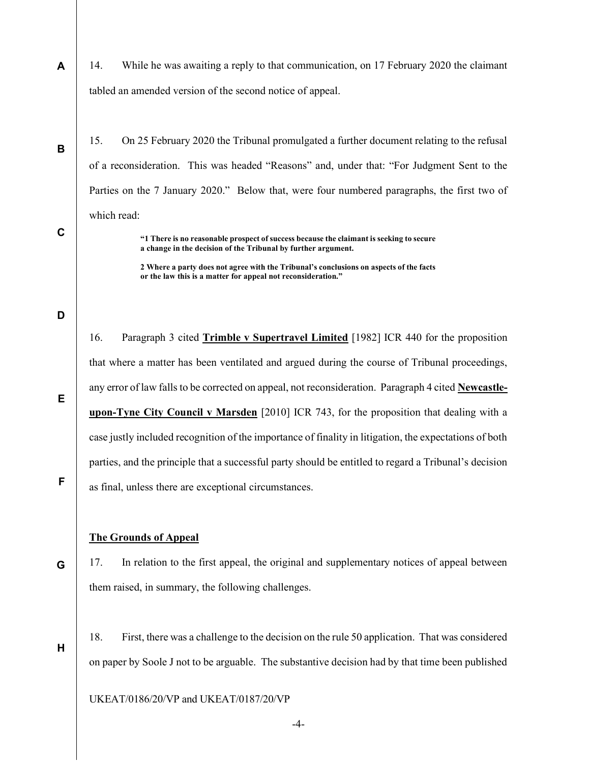A 14. While he was awaiting a reply to that communication, on 17 February 2020 the claimant tabled an amended version of the second notice of appeal.

15. On 25 February 2020 the Tribunal promulgated a further document relating to the refusal of a reconsideration. This was headed "Reasons" and, under that: "For Judgment Sent to the Parties on the 7 January 2020." Below that, were four numbered paragraphs, the first two of which read:

> "1 There is no reasonable prospect of success because the claimant is seeking to secure a change in the decision of the Tribunal by further argument.

> 2 Where a party does not agree with the Tribunal's conclusions on aspects of the facts or the law this is a matter for appeal not reconsideration."

D

E

F

B

C

16. Paragraph 3 cited Trimble v Supertravel Limited [1982] ICR 440 for the proposition that where a matter has been ventilated and argued during the course of Tribunal proceedings, any error of law falls to be corrected on appeal, not reconsideration. Paragraph 4 cited Newcastleupon-Tyne City Council v Marsden [2010] ICR 743, for the proposition that dealing with a case justly included recognition of the importance of finality in litigation, the expectations of both parties, and the principle that a successful party should be entitled to regard a Tribunal's decision as final, unless there are exceptional circumstances.

The Grounds of Appeal

G

H

17. In relation to the first appeal, the original and supplementary notices of appeal between them raised, in summary, the following challenges.

18. First, there was a challenge to the decision on the rule 50 application. That was considered on paper by Soole J not to be arguable. The substantive decision had by that time been published

UKEAT/0186/20/VP and UKEAT/0187/20/VP

-4-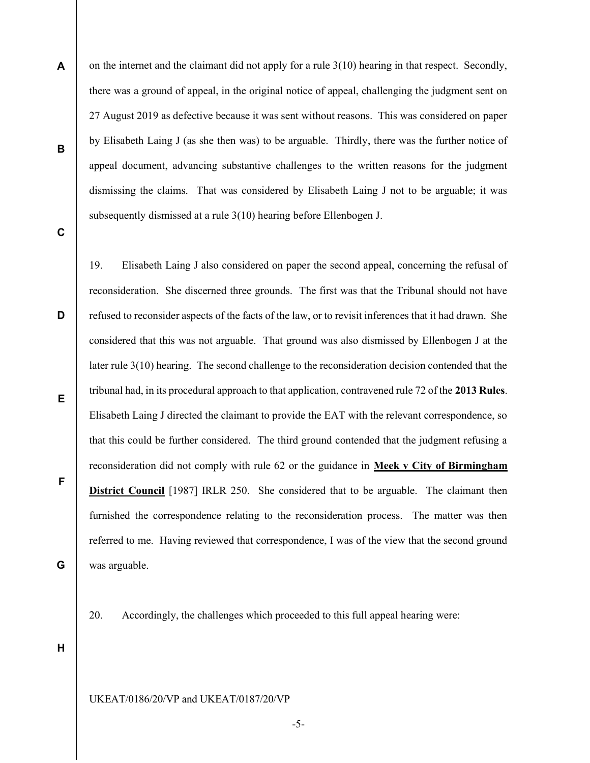on the internet and the claimant did not apply for a rule 3(10) hearing in that respect. Secondly, there was a ground of appeal, in the original notice of appeal, challenging the judgment sent on 27 August 2019 as defective because it was sent without reasons. This was considered on paper by Elisabeth Laing J (as she then was) to be arguable. Thirdly, there was the further notice of appeal document, advancing substantive challenges to the written reasons for the judgment dismissing the claims. That was considered by Elisabeth Laing J not to be arguable; it was subsequently dismissed at a rule 3(10) hearing before Ellenbogen J.

C

A

B

D E F 19. Elisabeth Laing J also considered on paper the second appeal, concerning the refusal of reconsideration. She discerned three grounds. The first was that the Tribunal should not have refused to reconsider aspects of the facts of the law, or to revisit inferences that it had drawn. She considered that this was not arguable. That ground was also dismissed by Ellenbogen J at the later rule 3(10) hearing. The second challenge to the reconsideration decision contended that the tribunal had, in its procedural approach to that application, contravened rule 72 of the 2013 Rules. Elisabeth Laing J directed the claimant to provide the EAT with the relevant correspondence, so that this could be further considered. The third ground contended that the judgment refusing a reconsideration did not comply with rule 62 or the guidance in **Meek v City of Birmingham** District Council [1987] IRLR 250. She considered that to be arguable. The claimant then furnished the correspondence relating to the reconsideration process. The matter was then referred to me. Having reviewed that correspondence, I was of the view that the second ground was arguable.

G

20. Accordingly, the challenges which proceeded to this full appeal hearing were:

H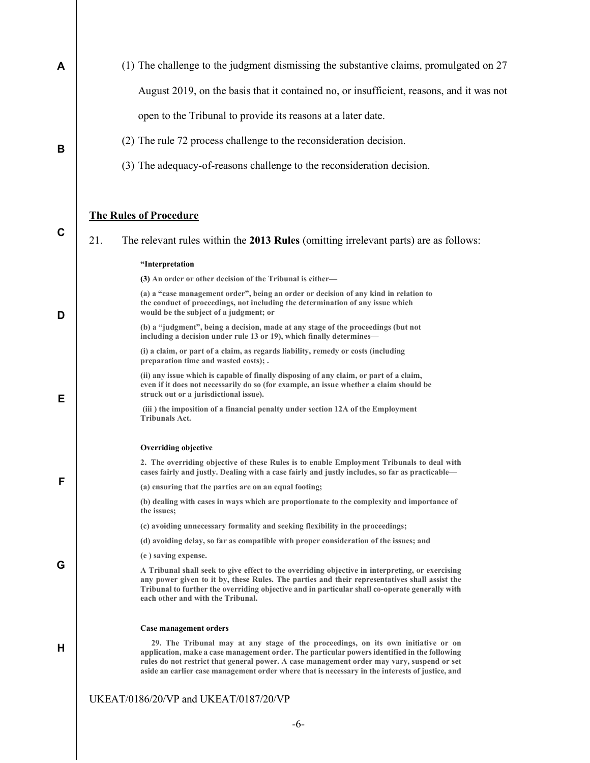| A           | (1) The challenge to the judgment dismissing the substantive claims, promulgated on 27                                                                                                                                                                                                                                                                                             |
|-------------|------------------------------------------------------------------------------------------------------------------------------------------------------------------------------------------------------------------------------------------------------------------------------------------------------------------------------------------------------------------------------------|
|             | August 2019, on the basis that it contained no, or insufficient, reasons, and it was not                                                                                                                                                                                                                                                                                           |
|             | open to the Tribunal to provide its reasons at a later date.                                                                                                                                                                                                                                                                                                                       |
| B           | (2) The rule 72 process challenge to the reconsideration decision.                                                                                                                                                                                                                                                                                                                 |
|             | (3) The adequacy-of-reasons challenge to the reconsideration decision.                                                                                                                                                                                                                                                                                                             |
|             | <b>The Rules of Procedure</b>                                                                                                                                                                                                                                                                                                                                                      |
| $\mathbf C$ | 21.<br>The relevant rules within the 2013 Rules (omitting irrelevant parts) are as follows:                                                                                                                                                                                                                                                                                        |
|             | "Interpretation                                                                                                                                                                                                                                                                                                                                                                    |
|             | (3) An order or other decision of the Tribunal is either-                                                                                                                                                                                                                                                                                                                          |
| D           | (a) a "case management order", being an order or decision of any kind in relation to<br>the conduct of proceedings, not including the determination of any issue which<br>would be the subject of a judgment; or                                                                                                                                                                   |
|             | (b) a "judgment", being a decision, made at any stage of the proceedings (but not<br>including a decision under rule 13 or 19), which finally determines—                                                                                                                                                                                                                          |
|             | (i) a claim, or part of a claim, as regards liability, remedy or costs (including<br>preparation time and wasted costs); .                                                                                                                                                                                                                                                         |
| Е           | (ii) any issue which is capable of finally disposing of any claim, or part of a claim,<br>even if it does not necessarily do so (for example, an issue whether a claim should be<br>struck out or a jurisdictional issue).                                                                                                                                                         |
|             | (iii) the imposition of a financial penalty under section 12A of the Employment<br><b>Tribunals Act.</b>                                                                                                                                                                                                                                                                           |
|             | <b>Overriding objective</b>                                                                                                                                                                                                                                                                                                                                                        |
|             | 2. The overriding objective of these Rules is to enable Employment Tribunals to deal with<br>cases fairly and justly. Dealing with a case fairly and justly includes, so far as practicable—                                                                                                                                                                                       |
| F           | (a) ensuring that the parties are on an equal footing;                                                                                                                                                                                                                                                                                                                             |
|             | (b) dealing with cases in ways which are proportionate to the complexity and importance of<br>the issues;                                                                                                                                                                                                                                                                          |
|             | (c) avoiding unnecessary formality and seeking flexibility in the proceedings;                                                                                                                                                                                                                                                                                                     |
|             | (d) avoiding delay, so far as compatible with proper consideration of the issues; and                                                                                                                                                                                                                                                                                              |
| G           | (e) saving expense.                                                                                                                                                                                                                                                                                                                                                                |
|             | A Tribunal shall seek to give effect to the overriding objective in interpreting, or exercising<br>any power given to it by, these Rules. The parties and their representatives shall assist the<br>Tribunal to further the overriding objective and in particular shall co-operate generally with<br>each other and with the Tribunal.                                            |
|             | Case management orders                                                                                                                                                                                                                                                                                                                                                             |
| н           | 29. The Tribunal may at any stage of the proceedings, on its own initiative or on<br>application, make a case management order. The particular powers identified in the following<br>rules do not restrict that general power. A case management order may vary, suspend or set<br>aside an earlier case management order where that is necessary in the interests of justice, and |
|             | UKEAT/0186/20/VP and UKEAT/0187/20/VP                                                                                                                                                                                                                                                                                                                                              |
|             | -6-                                                                                                                                                                                                                                                                                                                                                                                |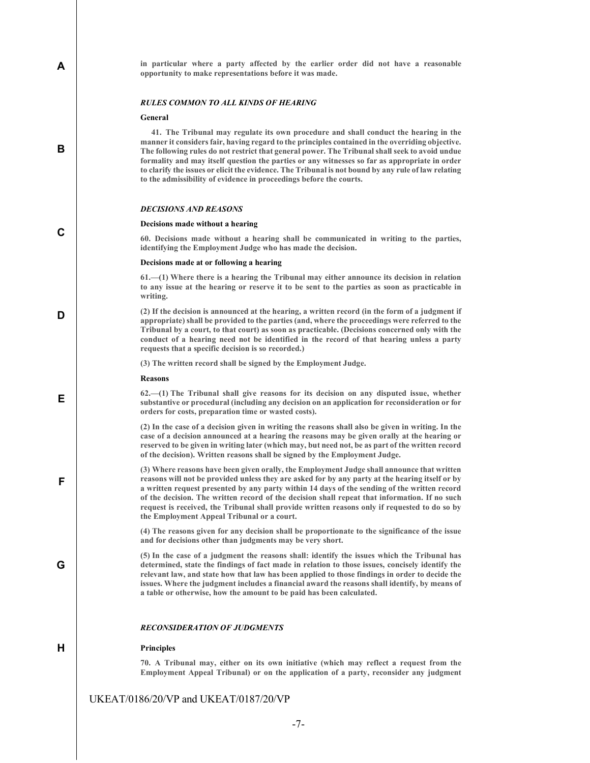in particular where a party affected by the earlier order did not have a reasonable opportunity to make representations before it was made.

### RULES COMMON TO ALL KINDS OF HEARING

#### General

A

B

C

D

E

F

G

H

41. The Tribunal may regulate its own procedure and shall conduct the hearing in the manner it considers fair, having regard to the principles contained in the overriding objective. The following rules do not restrict that general power. The Tribunal shall seek to avoid undue formality and may itself question the parties or any witnesses so far as appropriate in order to clarify the issues or elicit the evidence. The Tribunal is not bound by any rule of law relating to the admissibility of evidence in proceedings before the courts.

#### DECISIONS AND REASONS

#### Decisions made without a hearing

60. Decisions made without a hearing shall be communicated in writing to the parties, identifying the Employment Judge who has made the decision.

#### Decisions made at or following a hearing

61.—(1) Where there is a hearing the Tribunal may either announce its decision in relation to any issue at the hearing or reserve it to be sent to the parties as soon as practicable in writing.

(2) If the decision is announced at the hearing, a written record (in the form of a judgment if appropriate) shall be provided to the parties (and, where the proceedings were referred to the Tribunal by a court, to that court) as soon as practicable. (Decisions concerned only with the conduct of a hearing need not be identified in the record of that hearing unless a party requests that a specific decision is so recorded.)

(3) The written record shall be signed by the Employment Judge.

#### Reasons

62.—(1) The Tribunal shall give reasons for its decision on any disputed issue, whether substantive or procedural (including any decision on an application for reconsideration or for orders for costs, preparation time or wasted costs).

(2) In the case of a decision given in writing the reasons shall also be given in writing. In the case of a decision announced at a hearing the reasons may be given orally at the hearing or reserved to be given in writing later (which may, but need not, be as part of the written record of the decision). Written reasons shall be signed by the Employment Judge.

(3) Where reasons have been given orally, the Employment Judge shall announce that written reasons will not be provided unless they are asked for by any party at the hearing itself or by a written request presented by any party within 14 days of the sending of the written record of the decision. The written record of the decision shall repeat that information. If no such request is received, the Tribunal shall provide written reasons only if requested to do so by the Employment Appeal Tribunal or a court.

(4) The reasons given for any decision shall be proportionate to the significance of the issue and for decisions other than judgments may be very short.

(5) In the case of a judgment the reasons shall: identify the issues which the Tribunal has determined, state the findings of fact made in relation to those issues, concisely identify the relevant law, and state how that law has been applied to those findings in order to decide the issues. Where the judgment includes a financial award the reasons shall identify, by means of a table or otherwise, how the amount to be paid has been calculated.

#### RECONSIDERATION OF JUDGMENTS

#### Principles

70. A Tribunal may, either on its own initiative (which may reflect a request from the Employment Appeal Tribunal) or on the application of a party, reconsider any judgment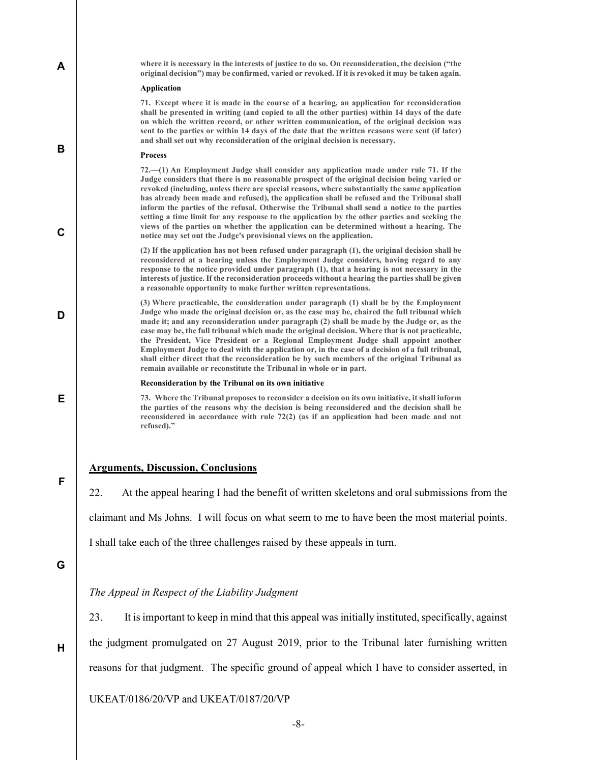A B C D E F where it is necessary in the interests of justice to do so. On reconsideration, the decision ("the original decision") may be confirmed, varied or revoked. If it is revoked it may be taken again. Application 71. Except where it is made in the course of a hearing, an application for reconsideration shall be presented in writing (and copied to all the other parties) within 14 days of the date on which the written record, or other written communication, of the original decision was sent to the parties or within 14 days of the date that the written reasons were sent (if later) and shall set out why reconsideration of the original decision is necessary. Process 72.—(1) An Employment Judge shall consider any application made under rule 71. If the Judge considers that there is no reasonable prospect of the original decision being varied or revoked (including, unless there are special reasons, where substantially the same application has already been made and refused), the application shall be refused and the Tribunal shall inform the parties of the refusal. Otherwise the Tribunal shall send a notice to the parties setting a time limit for any response to the application by the other parties and seeking the views of the parties on whether the application can be determined without a hearing. The notice may set out the Judge's provisional views on the application. (2) If the application has not been refused under paragraph (1), the original decision shall be reconsidered at a hearing unless the Employment Judge considers, having regard to any response to the notice provided under paragraph (1), that a hearing is not necessary in the interests of justice. If the reconsideration proceeds without a hearing the parties shall be given a reasonable opportunity to make further written representations. (3) Where practicable, the consideration under paragraph (1) shall be by the Employment Judge who made the original decision or, as the case may be, chaired the full tribunal which made it; and any reconsideration under paragraph (2) shall be made by the Judge or, as the case may be, the full tribunal which made the original decision. Where that is not practicable, the President, Vice President or a Regional Employment Judge shall appoint another Employment Judge to deal with the application or, in the case of a decision of a full tribunal, shall either direct that the reconsideration be by such members of the original Tribunal as remain available or reconstitute the Tribunal in whole or in part. Reconsideration by the Tribunal on its own initiative 73. Where the Tribunal proposes to reconsider a decision on its own initiative, it shall inform the parties of the reasons why the decision is being reconsidered and the decision shall be reconsidered in accordance with rule 72(2) (as if an application had been made and not refused)." Arguments, Discussion, Conclusions 22. At the appeal hearing I had the benefit of written skeletons and oral submissions from the claimant and Ms Johns. I will focus on what seem to me to have been the most material points. I shall take each of the three challenges raised by these appeals in turn.

G

H

# The Appeal in Respect of the Liability Judgment

23. It is important to keep in mind that this appeal was initially instituted, specifically, against

the judgment promulgated on 27 August 2019, prior to the Tribunal later furnishing written

reasons for that judgment. The specific ground of appeal which I have to consider asserted, in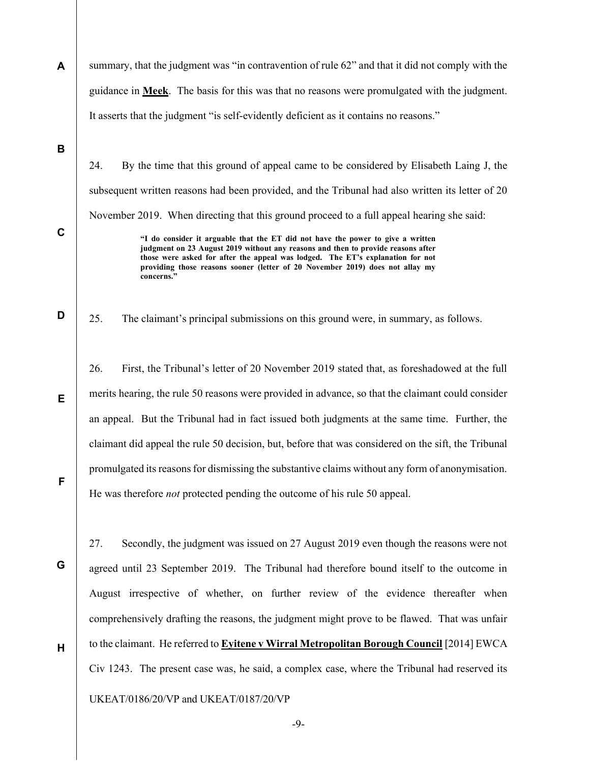|             | guidance in <b>Meek</b> . The basis for this was that no reasons were promulgated with the judgment.                                                                                                                                                                                                                                                 |
|-------------|------------------------------------------------------------------------------------------------------------------------------------------------------------------------------------------------------------------------------------------------------------------------------------------------------------------------------------------------------|
|             | It asserts that the judgment "is self-evidently deficient as it contains no reasons."                                                                                                                                                                                                                                                                |
| B           |                                                                                                                                                                                                                                                                                                                                                      |
|             | By the time that this ground of appeal came to be considered by Elisabeth Laing J, the<br>24.                                                                                                                                                                                                                                                        |
|             | subsequent written reasons had been provided, and the Tribunal had also written its letter of 20                                                                                                                                                                                                                                                     |
|             | November 2019. When directing that this ground proceed to a full appeal hearing she said:                                                                                                                                                                                                                                                            |
| $\mathbf c$ | "I do consider it arguable that the ET did not have the power to give a written<br>judgment on 23 August 2019 without any reasons and then to provide reasons after<br>those were asked for after the appeal was lodged. The ET's explanation for not<br>providing those reasons sooner (letter of 20 November 2019) does not allay my<br>concerns." |
| D           | The claimant's principal submissions on this ground were, in summary, as follows.<br>25.                                                                                                                                                                                                                                                             |
|             | 26.<br>First, the Tribunal's letter of 20 November 2019 stated that, as foreshadowed at the full                                                                                                                                                                                                                                                     |
| Е           | merits hearing, the rule 50 reasons were provided in advance, so that the claimant could consider                                                                                                                                                                                                                                                    |
|             | an appeal. But the Tribunal had in fact issued both judgments at the same time. Further, the                                                                                                                                                                                                                                                         |
|             | claimant did appeal the rule 50 decision, but, before that was considered on the sift, the Tribunal                                                                                                                                                                                                                                                  |
| F           | promulgated its reasons for dismissing the substantive claims without any form of anonymisation.                                                                                                                                                                                                                                                     |
|             | He was therefore <i>not</i> protected pending the outcome of his rule 50 appeal.                                                                                                                                                                                                                                                                     |
|             |                                                                                                                                                                                                                                                                                                                                                      |
| G           | Secondly, the judgment was issued on 27 August 2019 even though the reasons were not<br>27.                                                                                                                                                                                                                                                          |
|             | agreed until 23 September 2019. The Tribunal had therefore bound itself to the outcome in                                                                                                                                                                                                                                                            |
|             | August irrespective of whether, on further review of the evidence thereafter when                                                                                                                                                                                                                                                                    |
|             | comprehensively drafting the reasons, the judgment might prove to be flawed. That was unfair                                                                                                                                                                                                                                                         |

summary, that the judgment was "in contravention of rule 62" and that it did not comply with the

H

A

August irrespective of whether, on further review of the evidence thereafter when comprehensively drafting the reasons, the judgment might prove to be flawed. That was unfair to the claimant. He referred to **Eyitene v Wirral Metropolitan Borough Council** [2014] EWCA Civ 1243. The present case was, he said, a complex case, where the Tribunal had reserved its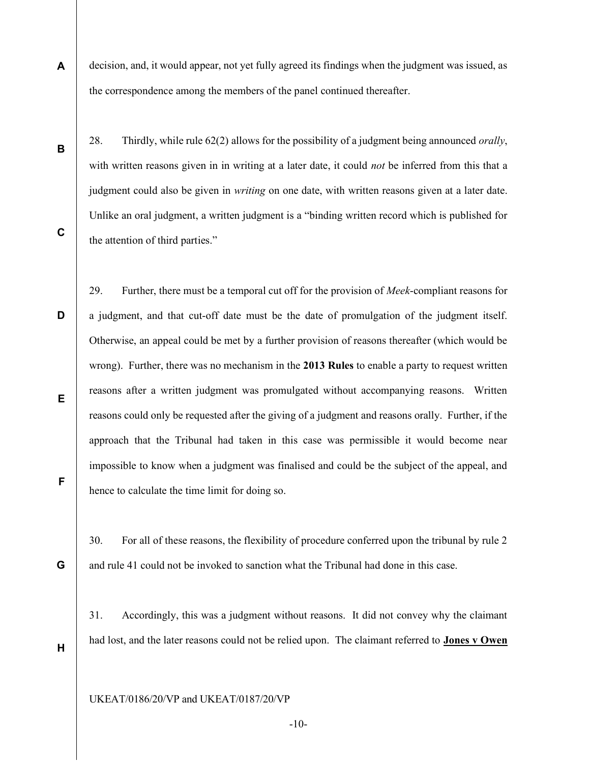decision, and, it would appear, not yet fully agreed its findings when the judgment was issued, as the correspondence among the members of the panel continued thereafter.

28. Thirdly, while rule  $62(2)$  allows for the possibility of a judgment being announced *orally*, with written reasons given in in writing at a later date, it could *not* be inferred from this that a judgment could also be given in writing on one date, with written reasons given at a later date. Unlike an oral judgment, a written judgment is a "binding written record which is published for the attention of third parties."

C

A

B

D E 29. Further, there must be a temporal cut off for the provision of *Meek*-compliant reasons for a judgment, and that cut-off date must be the date of promulgation of the judgment itself. Otherwise, an appeal could be met by a further provision of reasons thereafter (which would be wrong). Further, there was no mechanism in the 2013 Rules to enable a party to request written reasons after a written judgment was promulgated without accompanying reasons. Written reasons could only be requested after the giving of a judgment and reasons orally. Further, if the approach that the Tribunal had taken in this case was permissible it would become near impossible to know when a judgment was finalised and could be the subject of the appeal, and hence to calculate the time limit for doing so.

30. For all of these reasons, the flexibility of procedure conferred upon the tribunal by rule 2 and rule 41 could not be invoked to sanction what the Tribunal had done in this case.

31. Accordingly, this was a judgment without reasons. It did not convey why the claimant had lost, and the later reasons could not be relied upon. The claimant referred to **Jones v Owen** 

H

G

F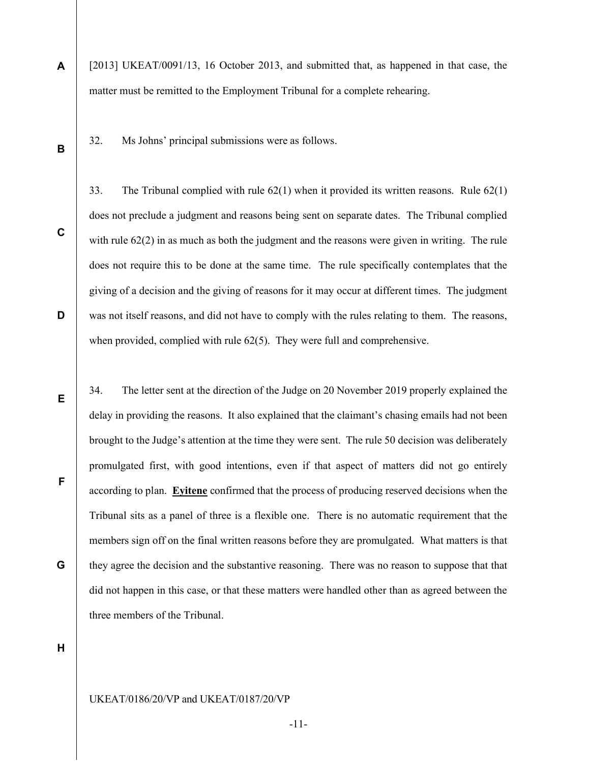A

B

C

D

E

F

[2013] UKEAT/0091/13, 16 October 2013, and submitted that, as happened in that case, the matter must be remitted to the Employment Tribunal for a complete rehearing.

32. Ms Johns' principal submissions were as follows.

33. The Tribunal complied with rule  $62(1)$  when it provided its written reasons. Rule  $62(1)$ does not preclude a judgment and reasons being sent on separate dates. The Tribunal complied with rule 62(2) in as much as both the judgment and the reasons were given in writing. The rule does not require this to be done at the same time. The rule specifically contemplates that the giving of a decision and the giving of reasons for it may occur at different times. The judgment was not itself reasons, and did not have to comply with the rules relating to them. The reasons, when provided, complied with rule 62(5). They were full and comprehensive.

34. The letter sent at the direction of the Judge on 20 November 2019 properly explained the delay in providing the reasons. It also explained that the claimant's chasing emails had not been brought to the Judge's attention at the time they were sent. The rule 50 decision was deliberately promulgated first, with good intentions, even if that aspect of matters did not go entirely according to plan. Eyitene confirmed that the process of producing reserved decisions when the Tribunal sits as a panel of three is a flexible one. There is no automatic requirement that the members sign off on the final written reasons before they are promulgated. What matters is that they agree the decision and the substantive reasoning. There was no reason to suppose that that did not happen in this case, or that these matters were handled other than as agreed between the three members of the Tribunal.

H

G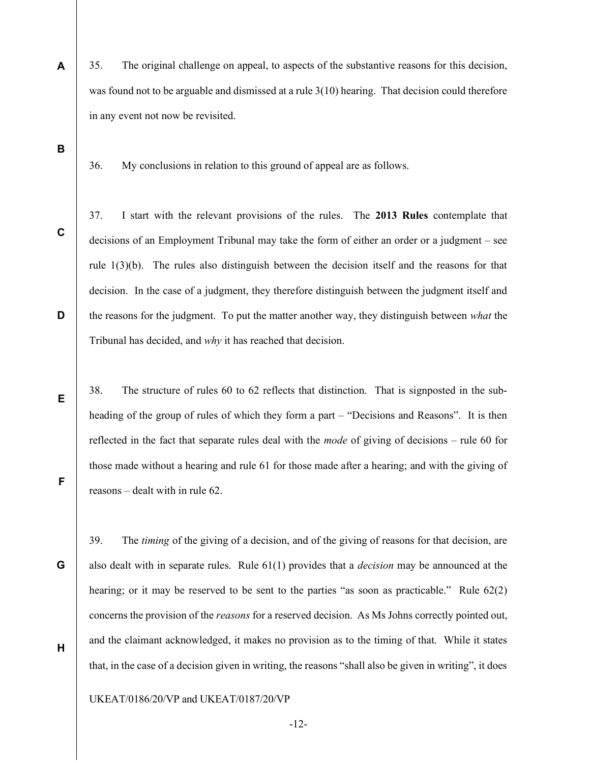35. The original challenge on appeal, to aspects of the substantive reasons for this decision, was found not to be arguable and dismissed at a rule 3(10) hearing. That decision could therefore in any event not now be revisited.

36. My conclusions in relation to this ground of appeal are as follows.

37. I start with the relevant provisions of the rules. The 2013 Rules contemplate that decisions of an Employment Tribunal may take the form of either an order or a judgment – see rule 1(3)(b). The rules also distinguish between the decision itself and the reasons for that decision. In the case of a judgment, they therefore distinguish between the judgment itself and the reasons for the judgment. To put the matter another way, they distinguish between what the Tribunal has decided, and why it has reached that decision.

38. The structure of rules 60 to 62 reflects that distinction. That is signposted in the subheading of the group of rules of which they form a part – "Decisions and Reasons". It is then reflected in the fact that separate rules deal with the mode of giving of decisions – rule 60 for those made without a hearing and rule 61 for those made after a hearing; and with the giving of reasons – dealt with in rule 62.

39. The timing of the giving of a decision, and of the giving of reasons for that decision, are also dealt with in separate rules. Rule  $61(1)$  provides that a *decision* may be announced at the hearing; or it may be reserved to be sent to the parties "as soon as practicable." Rule 62(2) concerns the provision of the reasons for a reserved decision. As Ms Johns correctly pointed out, and the claimant acknowledged, it makes no provision as to the timing of that. While it states that, in the case of a decision given in writing, the reasons "shall also be given in writing", it does

UKEAT/0186/20/VP and UKEAT/0187/20/VP

B

A

D

E

C

F

H

G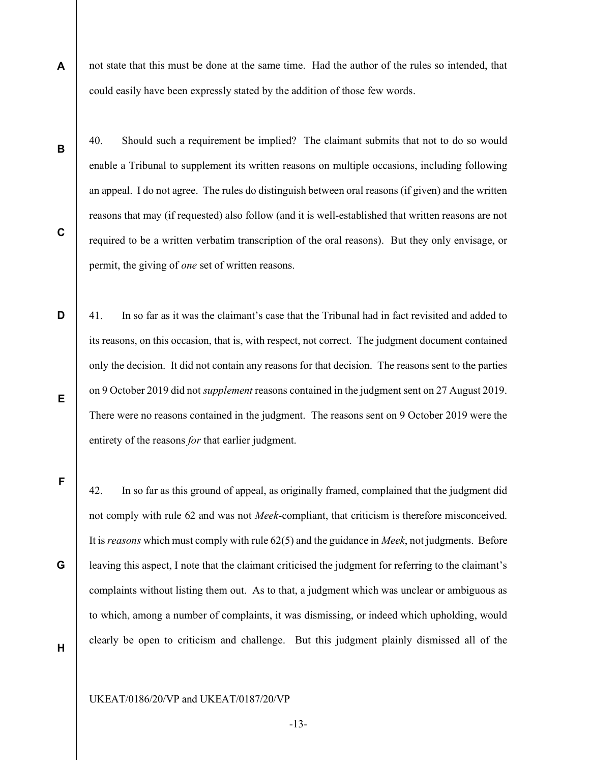not state that this must be done at the same time. Had the author of the rules so intended, that could easily have been expressly stated by the addition of those few words.

B

C

A

40. Should such a requirement be implied? The claimant submits that not to do so would enable a Tribunal to supplement its written reasons on multiple occasions, including following an appeal. I do not agree. The rules do distinguish between oral reasons (if given) and the written reasons that may (if requested) also follow (and it is well-established that written reasons are not required to be a written verbatim transcription of the oral reasons). But they only envisage, or permit, the giving of one set of written reasons.

D E 41. In so far as it was the claimant's case that the Tribunal had in fact revisited and added to its reasons, on this occasion, that is, with respect, not correct. The judgment document contained only the decision. It did not contain any reasons for that decision. The reasons sent to the parties on 9 October 2019 did not supplement reasons contained in the judgment sent on 27 August 2019. There were no reasons contained in the judgment. The reasons sent on 9 October 2019 were the entirety of the reasons for that earlier judgment.

42. In so far as this ground of appeal, as originally framed, complained that the judgment did not comply with rule 62 and was not Meek-compliant, that criticism is therefore misconceived. It is reasons which must comply with rule 62(5) and the guidance in Meek, not judgments. Before leaving this aspect, I note that the claimant criticised the judgment for referring to the claimant's complaints without listing them out. As to that, a judgment which was unclear or ambiguous as to which, among a number of complaints, it was dismissing, or indeed which upholding, would clearly be open to criticism and challenge. But this judgment plainly dismissed all of the

H

F

G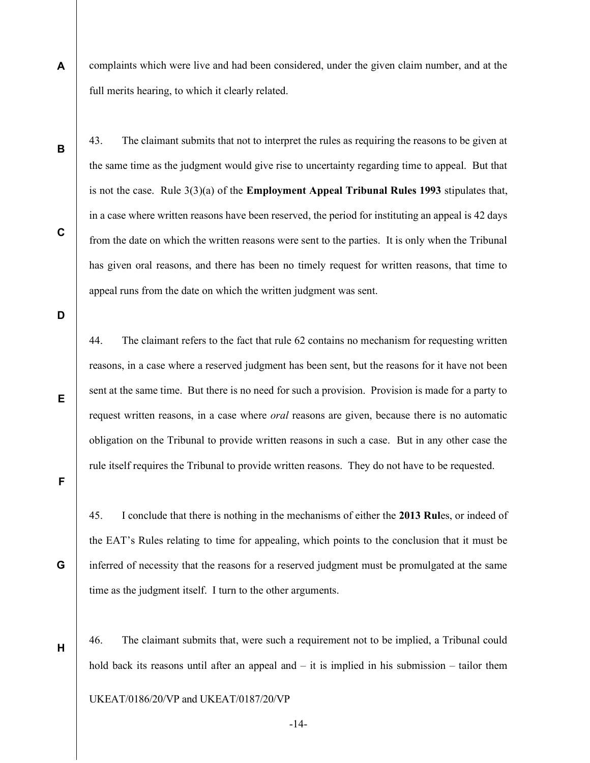A complaints which were live and had been considered, under the given claim number, and at the full merits hearing, to which it clearly related.

B

C

43. The claimant submits that not to interpret the rules as requiring the reasons to be given at the same time as the judgment would give rise to uncertainty regarding time to appeal. But that is not the case. Rule 3(3)(a) of the Employment Appeal Tribunal Rules 1993 stipulates that, in a case where written reasons have been reserved, the period for instituting an appeal is 42 days from the date on which the written reasons were sent to the parties. It is only when the Tribunal has given oral reasons, and there has been no timely request for written reasons, that time to appeal runs from the date on which the written judgment was sent.

D

E

44. The claimant refers to the fact that rule 62 contains no mechanism for requesting written reasons, in a case where a reserved judgment has been sent, but the reasons for it have not been sent at the same time. But there is no need for such a provision. Provision is made for a party to request written reasons, in a case where oral reasons are given, because there is no automatic obligation on the Tribunal to provide written reasons in such a case. But in any other case the rule itself requires the Tribunal to provide written reasons. They do not have to be requested.

F

G

H

45. I conclude that there is nothing in the mechanisms of either the 2013 Rules, or indeed of the EAT's Rules relating to time for appealing, which points to the conclusion that it must be inferred of necessity that the reasons for a reserved judgment must be promulgated at the same time as the judgment itself. I turn to the other arguments.

46. The claimant submits that, were such a requirement not to be implied, a Tribunal could hold back its reasons until after an appeal and  $-$  it is implied in his submission  $-$  tailor them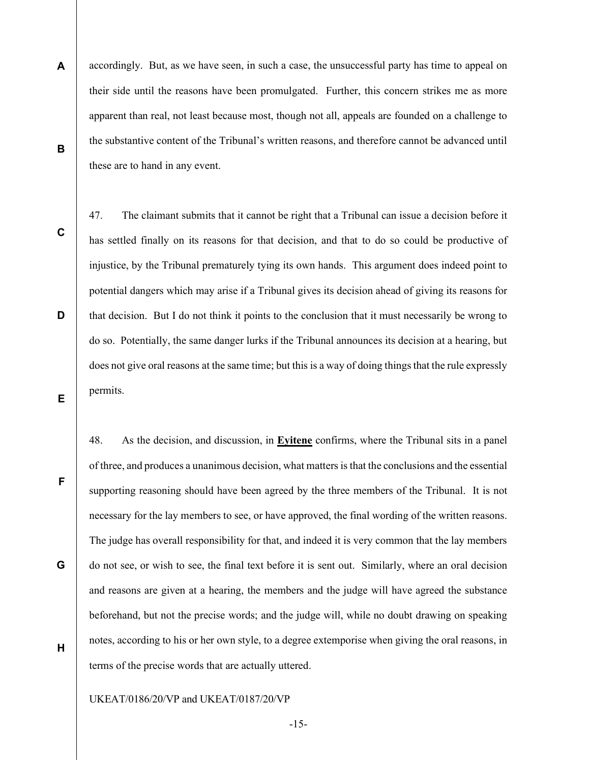- A B accordingly. But, as we have seen, in such a case, the unsuccessful party has time to appeal on their side until the reasons have been promulgated. Further, this concern strikes me as more apparent than real, not least because most, though not all, appeals are founded on a challenge to the substantive content of the Tribunal's written reasons, and therefore cannot be advanced until these are to hand in any event.
- C

D

E

F

G

H

47. The claimant submits that it cannot be right that a Tribunal can issue a decision before it has settled finally on its reasons for that decision, and that to do so could be productive of injustice, by the Tribunal prematurely tying its own hands. This argument does indeed point to potential dangers which may arise if a Tribunal gives its decision ahead of giving its reasons for that decision. But I do not think it points to the conclusion that it must necessarily be wrong to do so. Potentially, the same danger lurks if the Tribunal announces its decision at a hearing, but does not give oral reasons at the same time; but this is a way of doing things that the rule expressly permits.

48. As the decision, and discussion, in Eyitene confirms, where the Tribunal sits in a panel of three, and produces a unanimous decision, what matters is that the conclusions and the essential supporting reasoning should have been agreed by the three members of the Tribunal. It is not necessary for the lay members to see, or have approved, the final wording of the written reasons. The judge has overall responsibility for that, and indeed it is very common that the lay members do not see, or wish to see, the final text before it is sent out. Similarly, where an oral decision and reasons are given at a hearing, the members and the judge will have agreed the substance beforehand, but not the precise words; and the judge will, while no doubt drawing on speaking notes, according to his or her own style, to a degree extemporise when giving the oral reasons, in terms of the precise words that are actually uttered.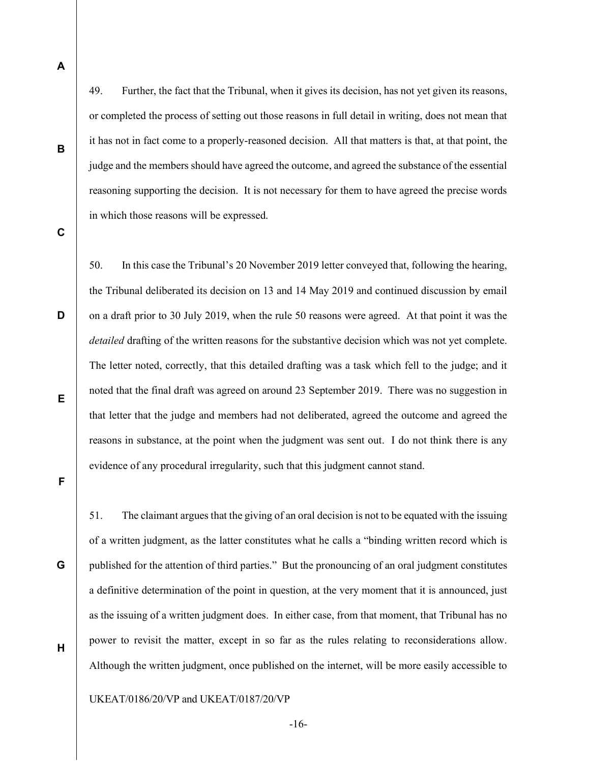A

B

49. Further, the fact that the Tribunal, when it gives its decision, has not yet given its reasons, or completed the process of setting out those reasons in full detail in writing, does not mean that it has not in fact come to a properly-reasoned decision. All that matters is that, at that point, the judge and the members should have agreed the outcome, and agreed the substance of the essential reasoning supporting the decision. It is not necessary for them to have agreed the precise words in which those reasons will be expressed.

C

D

50. In this case the Tribunal's 20 November 2019 letter conveyed that, following the hearing, the Tribunal deliberated its decision on 13 and 14 May 2019 and continued discussion by email on a draft prior to 30 July 2019, when the rule 50 reasons were agreed. At that point it was the detailed drafting of the written reasons for the substantive decision which was not yet complete. The letter noted, correctly, that this detailed drafting was a task which fell to the judge; and it noted that the final draft was agreed on around 23 September 2019. There was no suggestion in that letter that the judge and members had not deliberated, agreed the outcome and agreed the reasons in substance, at the point when the judgment was sent out. I do not think there is any evidence of any procedural irregularity, such that this judgment cannot stand.

E

F

G

H

51. The claimant argues that the giving of an oral decision is not to be equated with the issuing of a written judgment, as the latter constitutes what he calls a "binding written record which is published for the attention of third parties." But the pronouncing of an oral judgment constitutes a definitive determination of the point in question, at the very moment that it is announced, just as the issuing of a written judgment does. In either case, from that moment, that Tribunal has no power to revisit the matter, except in so far as the rules relating to reconsiderations allow. Although the written judgment, once published on the internet, will be more easily accessible to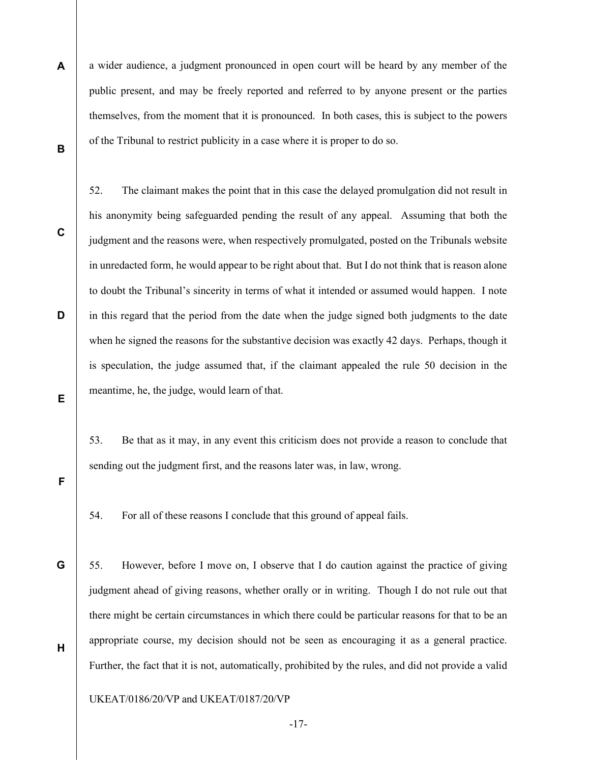a wider audience, a judgment pronounced in open court will be heard by any member of the public present, and may be freely reported and referred to by anyone present or the parties themselves, from the moment that it is pronounced. In both cases, this is subject to the powers of the Tribunal to restrict publicity in a case where it is proper to do so.

C

D

E

B

A

his anonymity being safeguarded pending the result of any appeal. Assuming that both the judgment and the reasons were, when respectively promulgated, posted on the Tribunals website in unredacted form, he would appear to be right about that. But I do not think that is reason alone to doubt the Tribunal's sincerity in terms of what it intended or assumed would happen. I note in this regard that the period from the date when the judge signed both judgments to the date when he signed the reasons for the substantive decision was exactly 42 days. Perhaps, though it is speculation, the judge assumed that, if the claimant appealed the rule 50 decision in the meantime, he, the judge, would learn of that.

52. The claimant makes the point that in this case the delayed promulgation did not result in

53. Be that as it may, in any event this criticism does not provide a reason to conclude that sending out the judgment first, and the reasons later was, in law, wrong.

F

G

54. For all of these reasons I conclude that this ground of appeal fails.

55. However, before I move on, I observe that I do caution against the practice of giving judgment ahead of giving reasons, whether orally or in writing. Though I do not rule out that there might be certain circumstances in which there could be particular reasons for that to be an appropriate course, my decision should not be seen as encouraging it as a general practice. Further, the fact that it is not, automatically, prohibited by the rules, and did not provide a valid

UKEAT/0186/20/VP and UKEAT/0187/20/VP

-17-

H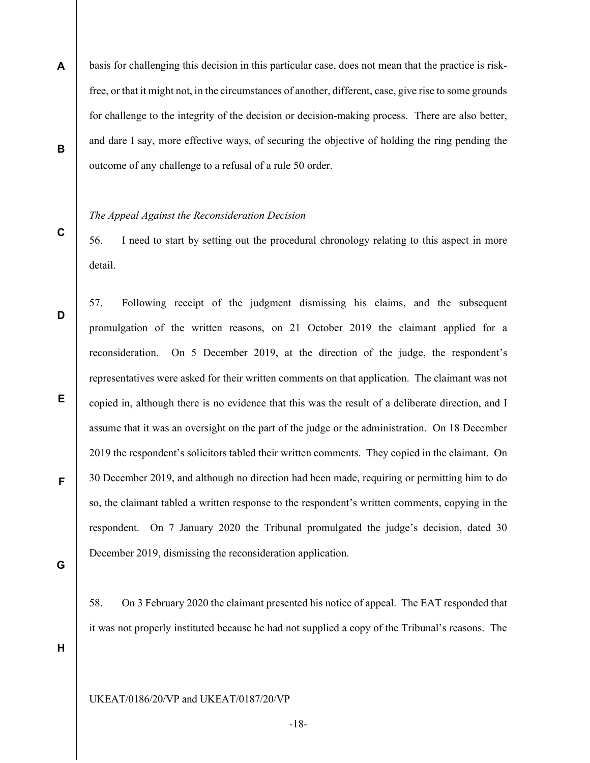A B basis for challenging this decision in this particular case, does not mean that the practice is riskfree, or that it might not, in the circumstances of another, different, case, give rise to some grounds for challenge to the integrity of the decision or decision-making process. There are also better, and dare I say, more effective ways, of securing the objective of holding the ring pending the outcome of any challenge to a refusal of a rule 50 order.

### The Appeal Against the Reconsideration Decision

56. I need to start by setting out the procedural chronology relating to this aspect in more detail.

57. Following receipt of the judgment dismissing his claims, and the subsequent promulgation of the written reasons, on 21 October 2019 the claimant applied for a reconsideration. On 5 December 2019, at the direction of the judge, the respondent's representatives were asked for their written comments on that application. The claimant was not copied in, although there is no evidence that this was the result of a deliberate direction, and I assume that it was an oversight on the part of the judge or the administration. On 18 December 2019 the respondent's solicitors tabled their written comments. They copied in the claimant. On 30 December 2019, and although no direction had been made, requiring or permitting him to do so, the claimant tabled a written response to the respondent's written comments, copying in the respondent. On 7 January 2020 the Tribunal promulgated the judge's decision, dated 30 December 2019, dismissing the reconsideration application.

G

F

C

D

E

58. On 3 February 2020 the claimant presented his notice of appeal. The EAT responded that it was not properly instituted because he had not supplied a copy of the Tribunal's reasons. The

H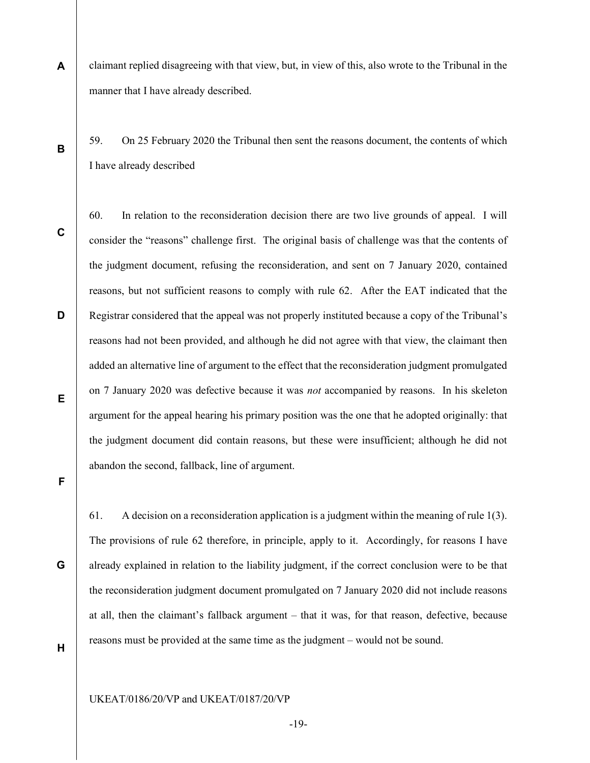claimant replied disagreeing with that view, but, in view of this, also wrote to the Tribunal in the manner that I have already described.

59. On 25 February 2020 the Tribunal then sent the reasons document, the contents of which I have already described

C

A

B

D 60. In relation to the reconsideration decision there are two live grounds of appeal. I will consider the "reasons" challenge first. The original basis of challenge was that the contents of the judgment document, refusing the reconsideration, and sent on 7 January 2020, contained reasons, but not sufficient reasons to comply with rule 62. After the EAT indicated that the Registrar considered that the appeal was not properly instituted because a copy of the Tribunal's reasons had not been provided, and although he did not agree with that view, the claimant then added an alternative line of argument to the effect that the reconsideration judgment promulgated on 7 January 2020 was defective because it was not accompanied by reasons. In his skeleton argument for the appeal hearing his primary position was the one that he adopted originally: that the judgment document did contain reasons, but these were insufficient; although he did not abandon the second, fallback, line of argument.

E

F

G

61. A decision on a reconsideration application is a judgment within the meaning of rule 1(3). The provisions of rule 62 therefore, in principle, apply to it. Accordingly, for reasons I have already explained in relation to the liability judgment, if the correct conclusion were to be that the reconsideration judgment document promulgated on 7 January 2020 did not include reasons at all, then the claimant's fallback argument – that it was, for that reason, defective, because reasons must be provided at the same time as the judgment – would not be sound.

H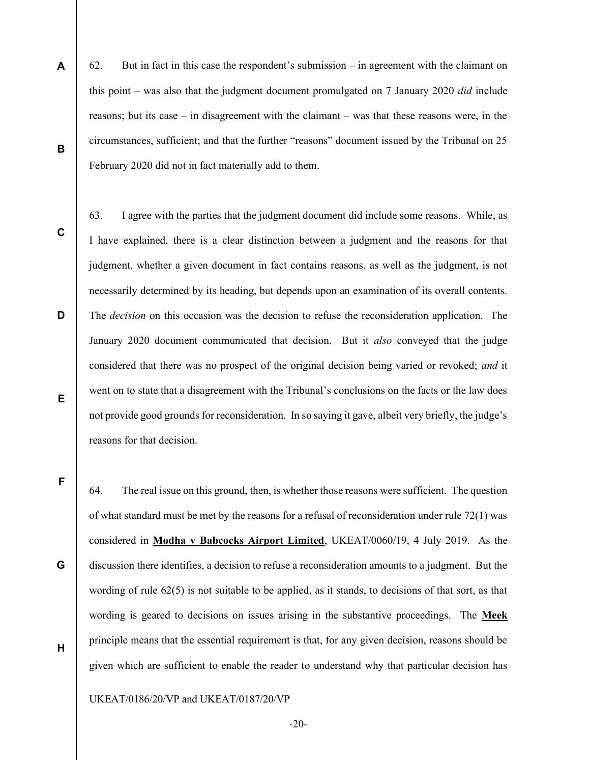- A 62. But in fact in this case the respondent's submission – in agreement with the claimant on this point – was also that the judgment document promulgated on 7 January 2020 did include reasons; but its case – in disagreement with the claimant – was that these reasons were, in the circumstances, sufficient; and that the further "reasons" document issued by the Tribunal on 25 February 2020 did not in fact materially add to them.
- C

D

E

F

G

H

B

63. I agree with the parties that the judgment document did include some reasons. While, as I have explained, there is a clear distinction between a judgment and the reasons for that judgment, whether a given document in fact contains reasons, as well as the judgment, is not necessarily determined by its heading, but depends upon an examination of its overall contents. The *decision* on this occasion was the decision to refuse the reconsideration application. The January 2020 document communicated that decision. But it also conveyed that the judge considered that there was no prospect of the original decision being varied or revoked; and it went on to state that a disagreement with the Tribunal's conclusions on the facts or the law does not provide good grounds for reconsideration. In so saying it gave, albeit very briefly, the judge's reasons for that decision.

64. The real issue on this ground, then, is whether those reasons were sufficient. The question of what standard must be met by the reasons for a refusal of reconsideration under rule 72(1) was considered in Modha v Babcocks Airport Limited, UKEAT/0060/19, 4 July 2019. As the discussion there identifies, a decision to refuse a reconsideration amounts to a judgment. But the wording of rule 62(5) is not suitable to be applied, as it stands, to decisions of that sort, as that wording is geared to decisions on issues arising in the substantive proceedings. The Meek principle means that the essential requirement is that, for any given decision, reasons should be given which are sufficient to enable the reader to understand why that particular decision has

# UKEAT/0186/20/VP and UKEAT/0187/20/VP

-20-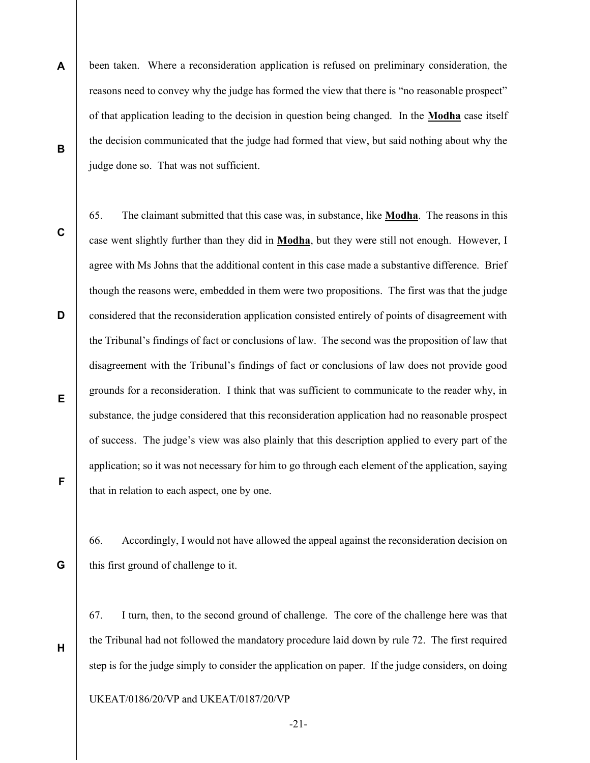- A B been taken. Where a reconsideration application is refused on preliminary consideration, the reasons need to convey why the judge has formed the view that there is "no reasonable prospect" of that application leading to the decision in question being changed. In the **Modha** case itself the decision communicated that the judge had formed that view, but said nothing about why the judge done so. That was not sufficient.
- C

D

E

F

G

H

65. The claimant submitted that this case was, in substance, like Modha. The reasons in this case went slightly further than they did in Modha, but they were still not enough. However, I agree with Ms Johns that the additional content in this case made a substantive difference. Brief though the reasons were, embedded in them were two propositions. The first was that the judge considered that the reconsideration application consisted entirely of points of disagreement with the Tribunal's findings of fact or conclusions of law. The second was the proposition of law that disagreement with the Tribunal's findings of fact or conclusions of law does not provide good grounds for a reconsideration. I think that was sufficient to communicate to the reader why, in substance, the judge considered that this reconsideration application had no reasonable prospect of success. The judge's view was also plainly that this description applied to every part of the application; so it was not necessary for him to go through each element of the application, saying that in relation to each aspect, one by one.

66. Accordingly, I would not have allowed the appeal against the reconsideration decision on this first ground of challenge to it.

67. I turn, then, to the second ground of challenge. The core of the challenge here was that the Tribunal had not followed the mandatory procedure laid down by rule 72. The first required step is for the judge simply to consider the application on paper. If the judge considers, on doing

UKEAT/0186/20/VP and UKEAT/0187/20/VP

-21-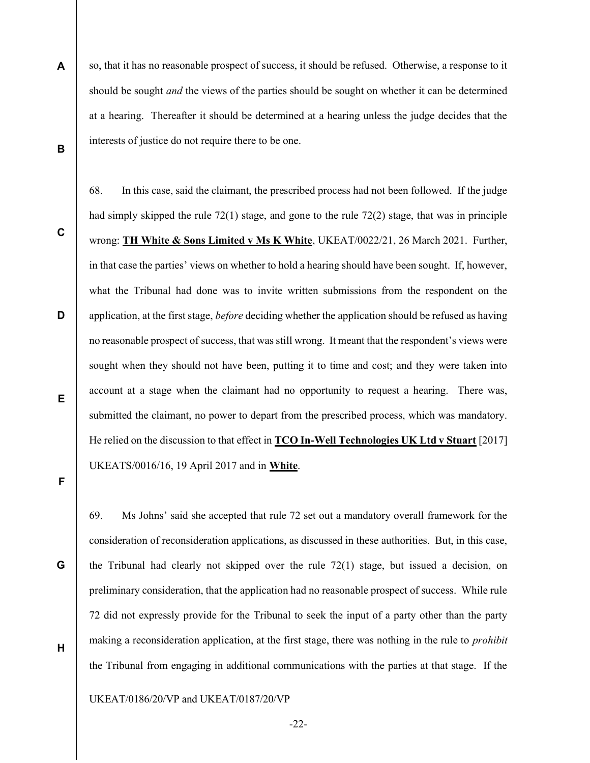- so, that it has no reasonable prospect of success, it should be refused. Otherwise, a response to it should be sought and the views of the parties should be sought on whether it can be determined at a hearing. Thereafter it should be determined at a hearing unless the judge decides that the interests of justice do not require there to be one.
- 68. In this case, said the claimant, the prescribed process had not been followed. If the judge had simply skipped the rule 72(1) stage, and gone to the rule 72(2) stage, that was in principle wrong: TH White & Sons Limited v Ms K White, UKEAT/0022/21, 26 March 2021. Further, in that case the parties' views on whether to hold a hearing should have been sought. If, however, what the Tribunal had done was to invite written submissions from the respondent on the application, at the first stage, before deciding whether the application should be refused as having no reasonable prospect of success, that was still wrong. It meant that the respondent's views were sought when they should not have been, putting it to time and cost; and they were taken into account at a stage when the claimant had no opportunity to request a hearing. There was, submitted the claimant, no power to depart from the prescribed process, which was mandatory. He relied on the discussion to that effect in **TCO In-Well Technologies UK Ltd v Stuart** [2017] UKEATS/0016/16, 19 April 2017 and in White.

E

A

B

C

D

F

G

H

69. Ms Johns' said she accepted that rule 72 set out a mandatory overall framework for the consideration of reconsideration applications, as discussed in these authorities. But, in this case, the Tribunal had clearly not skipped over the rule  $72(1)$  stage, but issued a decision, on preliminary consideration, that the application had no reasonable prospect of success. While rule 72 did not expressly provide for the Tribunal to seek the input of a party other than the party making a reconsideration application, at the first stage, there was nothing in the rule to *prohibit* the Tribunal from engaging in additional communications with the parties at that stage. If the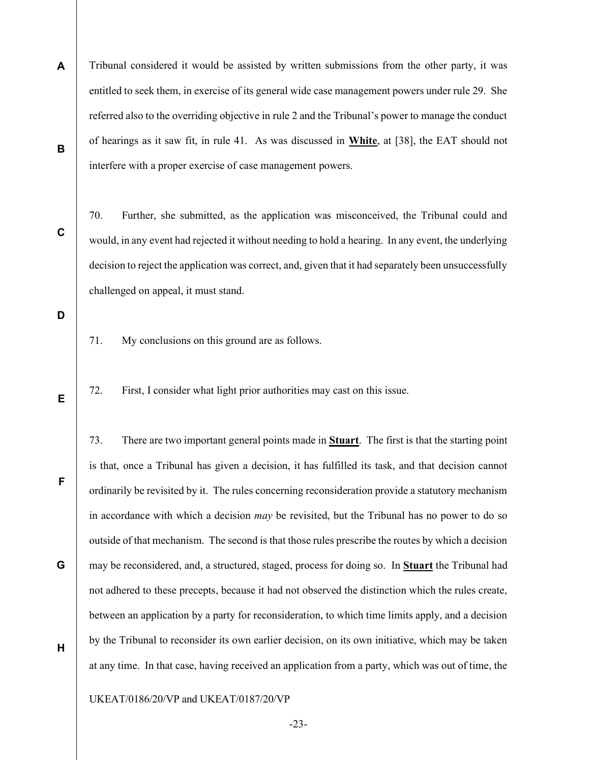A B Tribunal considered it would be assisted by written submissions from the other party, it was entitled to seek them, in exercise of its general wide case management powers under rule 29. She referred also to the overriding objective in rule 2 and the Tribunal's power to manage the conduct of hearings as it saw fit, in rule 41. As was discussed in White, at [38], the EAT should not interfere with a proper exercise of case management powers.

70. Further, she submitted, as the application was misconceived, the Tribunal could and would, in any event had rejected it without needing to hold a hearing. In any event, the underlying decision to reject the application was correct, and, given that it had separately been unsuccessfully challenged on appeal, it must stand.

71. My conclusions on this ground are as follows.

C

D

E

F

G

H

72. First, I consider what light prior authorities may cast on this issue.

73. There are two important general points made in Stuart. The first is that the starting point is that, once a Tribunal has given a decision, it has fulfilled its task, and that decision cannot ordinarily be revisited by it. The rules concerning reconsideration provide a statutory mechanism in accordance with which a decision may be revisited, but the Tribunal has no power to do so outside of that mechanism. The second is that those rules prescribe the routes by which a decision may be reconsidered, and, a structured, staged, process for doing so. In Stuart the Tribunal had not adhered to these precepts, because it had not observed the distinction which the rules create, between an application by a party for reconsideration, to which time limits apply, and a decision by the Tribunal to reconsider its own earlier decision, on its own initiative, which may be taken at any time. In that case, having received an application from a party, which was out of time, the

UKEAT/0186/20/VP and UKEAT/0187/20/VP

-23-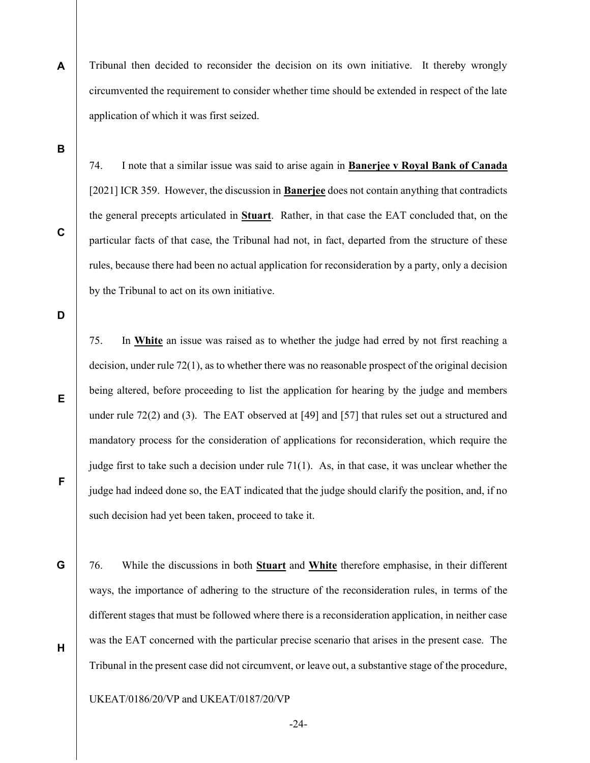A Tribunal then decided to reconsider the decision on its own initiative. It thereby wrongly circumvented the requirement to consider whether time should be extended in respect of the late application of which it was first seized.

B

C

74. I note that a similar issue was said to arise again in **Banerjee v Royal Bank of Canada** [2021] ICR 359. However, the discussion in Banerjee does not contain anything that contradicts the general precepts articulated in Stuart. Rather, in that case the EAT concluded that, on the particular facts of that case, the Tribunal had not, in fact, departed from the structure of these rules, because there had been no actual application for reconsideration by a party, only a decision by the Tribunal to act on its own initiative.

D

E

F

75. In White an issue was raised as to whether the judge had erred by not first reaching a decision, under rule 72(1), as to whether there was no reasonable prospect of the original decision being altered, before proceeding to list the application for hearing by the judge and members under rule 72(2) and (3). The EAT observed at [49] and [57] that rules set out a structured and mandatory process for the consideration of applications for reconsideration, which require the judge first to take such a decision under rule  $71(1)$ . As, in that case, it was unclear whether the judge had indeed done so, the EAT indicated that the judge should clarify the position, and, if no such decision had yet been taken, proceed to take it.

G

H

76. While the discussions in both Stuart and White therefore emphasise, in their different ways, the importance of adhering to the structure of the reconsideration rules, in terms of the different stages that must be followed where there is a reconsideration application, in neither case was the EAT concerned with the particular precise scenario that arises in the present case. The Tribunal in the present case did not circumvent, or leave out, a substantive stage of the procedure,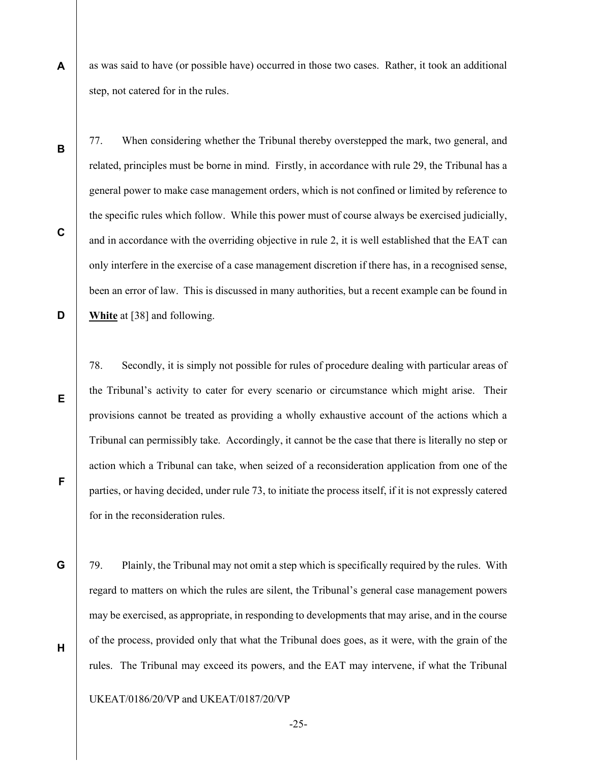as was said to have (or possible have) occurred in those two cases. Rather, it took an additional step, not catered for in the rules.

B

C

D

E

F

G

H

A

77. When considering whether the Tribunal thereby overstepped the mark, two general, and related, principles must be borne in mind. Firstly, in accordance with rule 29, the Tribunal has a general power to make case management orders, which is not confined or limited by reference to the specific rules which follow. While this power must of course always be exercised judicially, and in accordance with the overriding objective in rule 2, it is well established that the EAT can only interfere in the exercise of a case management discretion if there has, in a recognised sense, been an error of law. This is discussed in many authorities, but a recent example can be found in White at [38] and following.

78. Secondly, it is simply not possible for rules of procedure dealing with particular areas of the Tribunal's activity to cater for every scenario or circumstance which might arise. Their provisions cannot be treated as providing a wholly exhaustive account of the actions which a Tribunal can permissibly take. Accordingly, it cannot be the case that there is literally no step or action which a Tribunal can take, when seized of a reconsideration application from one of the parties, or having decided, under rule 73, to initiate the process itself, if it is not expressly catered for in the reconsideration rules.

79. Plainly, the Tribunal may not omit a step which is specifically required by the rules. With regard to matters on which the rules are silent, the Tribunal's general case management powers may be exercised, as appropriate, in responding to developments that may arise, and in the course of the process, provided only that what the Tribunal does goes, as it were, with the grain of the rules. The Tribunal may exceed its powers, and the EAT may intervene, if what the Tribunal

UKEAT/0186/20/VP and UKEAT/0187/20/VP

-25-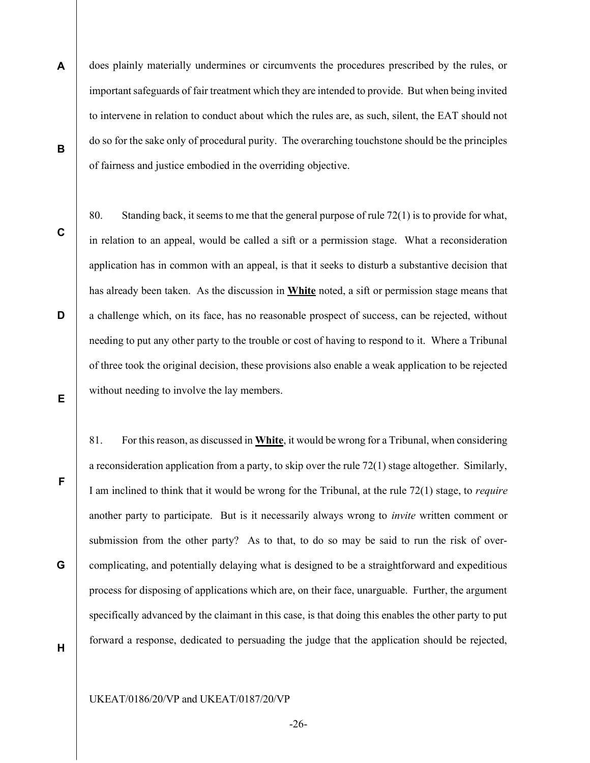- A B does plainly materially undermines or circumvents the procedures prescribed by the rules, or important safeguards of fair treatment which they are intended to provide. But when being invited to intervene in relation to conduct about which the rules are, as such, silent, the EAT should not do so for the sake only of procedural purity. The overarching touchstone should be the principles of fairness and justice embodied in the overriding objective.
- C

D

E

F

G

80. Standing back, it seems to me that the general purpose of rule 72(1) is to provide for what, in relation to an appeal, would be called a sift or a permission stage. What a reconsideration application has in common with an appeal, is that it seeks to disturb a substantive decision that has already been taken. As the discussion in **White** noted, a sift or permission stage means that a challenge which, on its face, has no reasonable prospect of success, can be rejected, without needing to put any other party to the trouble or cost of having to respond to it. Where a Tribunal of three took the original decision, these provisions also enable a weak application to be rejected without needing to involve the lay members.

81. For this reason, as discussed in White, it would be wrong for a Tribunal, when considering a reconsideration application from a party, to skip over the rule 72(1) stage altogether. Similarly, I am inclined to think that it would be wrong for the Tribunal, at the rule  $72(1)$  stage, to *require* another party to participate. But is it necessarily always wrong to invite written comment or submission from the other party? As to that, to do so may be said to run the risk of overcomplicating, and potentially delaying what is designed to be a straightforward and expeditious process for disposing of applications which are, on their face, unarguable. Further, the argument specifically advanced by the claimant in this case, is that doing this enables the other party to put forward a response, dedicated to persuading the judge that the application should be rejected,

H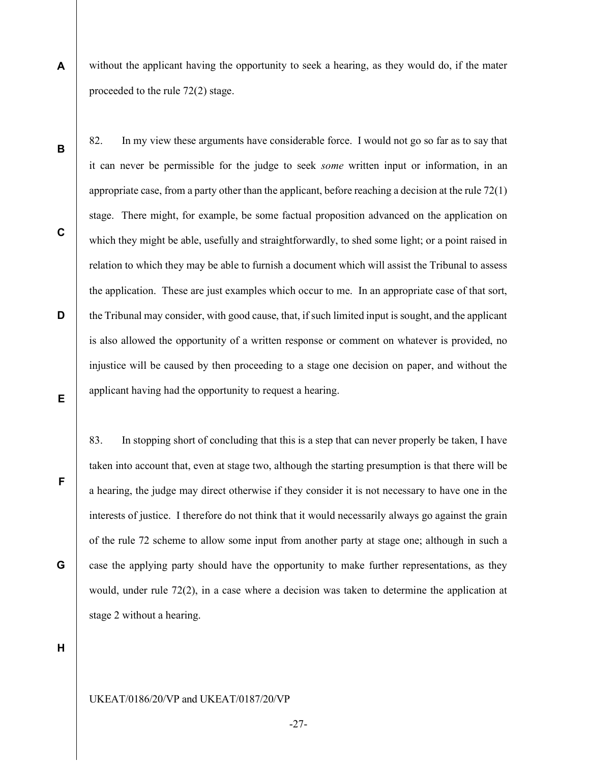A without the applicant having the opportunity to seek a hearing, as they would do, if the mater proceeded to the rule 72(2) stage.

82. In my view these arguments have considerable force. I would not go so far as to say that

B

C

D

E

it can never be permissible for the judge to seek some written input or information, in an appropriate case, from a party other than the applicant, before reaching a decision at the rule 72(1) stage. There might, for example, be some factual proposition advanced on the application on which they might be able, usefully and straightforwardly, to shed some light; or a point raised in relation to which they may be able to furnish a document which will assist the Tribunal to assess the application. These are just examples which occur to me. In an appropriate case of that sort, the Tribunal may consider, with good cause, that, if such limited input is sought, and the applicant is also allowed the opportunity of a written response or comment on whatever is provided, no injustice will be caused by then proceeding to a stage one decision on paper, and without the applicant having had the opportunity to request a hearing.

83. In stopping short of concluding that this is a step that can never properly be taken, I have taken into account that, even at stage two, although the starting presumption is that there will be a hearing, the judge may direct otherwise if they consider it is not necessary to have one in the interests of justice. I therefore do not think that it would necessarily always go against the grain of the rule 72 scheme to allow some input from another party at stage one; although in such a case the applying party should have the opportunity to make further representations, as they would, under rule 72(2), in a case where a decision was taken to determine the application at stage 2 without a hearing.

F

G

H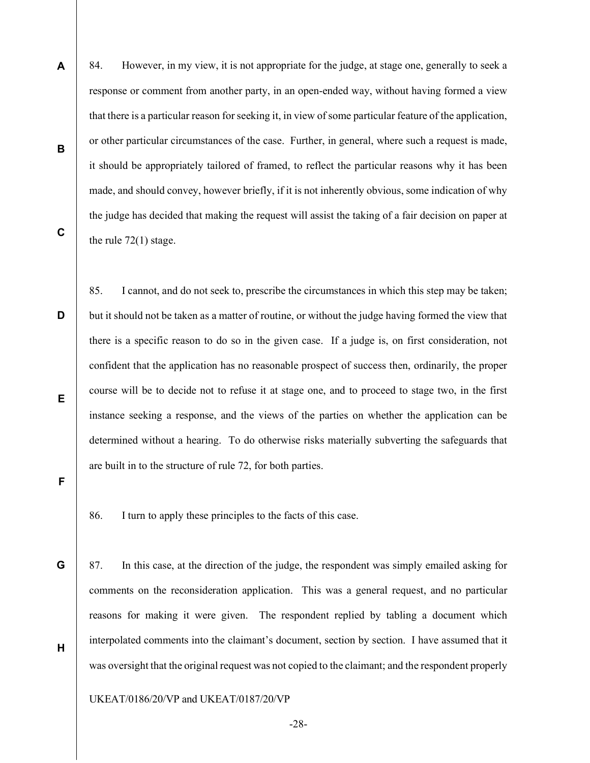- A B C 84. However, in my view, it is not appropriate for the judge, at stage one, generally to seek a response or comment from another party, in an open-ended way, without having formed a view that there is a particular reason for seeking it, in view of some particular feature of the application, or other particular circumstances of the case. Further, in general, where such a request is made, it should be appropriately tailored of framed, to reflect the particular reasons why it has been made, and should convey, however briefly, if it is not inherently obvious, some indication of why the judge has decided that making the request will assist the taking of a fair decision on paper at the rule 72(1) stage.
- D E 85. I cannot, and do not seek to, prescribe the circumstances in which this step may be taken; but it should not be taken as a matter of routine, or without the judge having formed the view that there is a specific reason to do so in the given case. If a judge is, on first consideration, not confident that the application has no reasonable prospect of success then, ordinarily, the proper course will be to decide not to refuse it at stage one, and to proceed to stage two, in the first instance seeking a response, and the views of the parties on whether the application can be determined without a hearing. To do otherwise risks materially subverting the safeguards that are built in to the structure of rule 72, for both parties.

F

G

H

86. I turn to apply these principles to the facts of this case.

87. In this case, at the direction of the judge, the respondent was simply emailed asking for comments on the reconsideration application. This was a general request, and no particular reasons for making it were given. The respondent replied by tabling a document which interpolated comments into the claimant's document, section by section. I have assumed that it was oversight that the original request was not copied to the claimant; and the respondent properly

UKEAT/0186/20/VP and UKEAT/0187/20/VP

-28-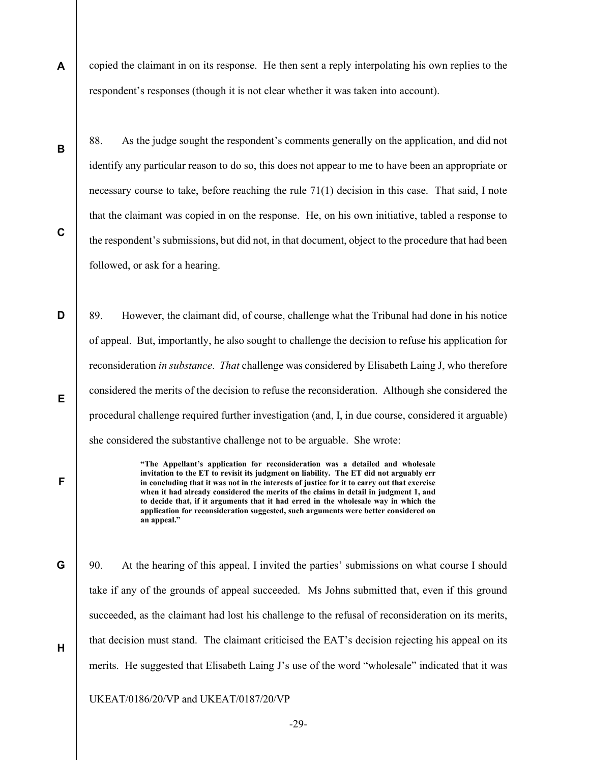A copied the claimant in on its response. He then sent a reply interpolating his own replies to the respondent's responses (though it is not clear whether it was taken into account).

88. As the judge sought the respondent's comments generally on the application, and did not identify any particular reason to do so, this does not appear to me to have been an appropriate or necessary course to take, before reaching the rule  $71(1)$  decision in this case. That said, I note that the claimant was copied in on the response. He, on his own initiative, tabled a response to the respondent's submissions, but did not, in that document, object to the procedure that had been followed, or ask for a hearing.

D 89. However, the claimant did, of course, challenge what the Tribunal had done in his notice of appeal. But, importantly, he also sought to challenge the decision to refuse his application for reconsideration in substance. That challenge was considered by Elisabeth Laing J, who therefore considered the merits of the decision to refuse the reconsideration. Although she considered the procedural challenge required further investigation (and, I, in due course, considered it arguable) she considered the substantive challenge not to be arguable. She wrote:

> "The Appellant's application for reconsideration was a detailed and wholesale invitation to the ET to revisit its judgment on liability. The ET did not arguably err in concluding that it was not in the interests of justice for it to carry out that exercise when it had already considered the merits of the claims in detail in judgment 1, and to decide that, if it arguments that it had erred in the wholesale way in which the application for reconsideration suggested, such arguments were better considered on an appeal."

90. At the hearing of this appeal, I invited the parties' submissions on what course I should take if any of the grounds of appeal succeeded. Ms Johns submitted that, even if this ground succeeded, as the claimant had lost his challenge to the refusal of reconsideration on its merits, that decision must stand. The claimant criticised the EAT's decision rejecting his appeal on its merits. He suggested that Elisabeth Laing J's use of the word "wholesale" indicated that it was

UKEAT/0186/20/VP and UKEAT/0187/20/VP

C

B

E

F

G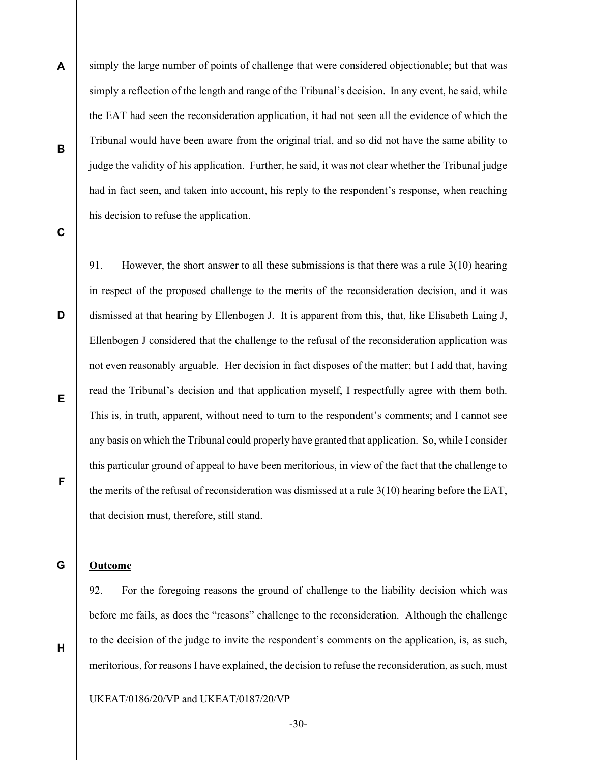simply the large number of points of challenge that were considered objectionable; but that was simply a reflection of the length and range of the Tribunal's decision. In any event, he said, while the EAT had seen the reconsideration application, it had not seen all the evidence of which the Tribunal would have been aware from the original trial, and so did not have the same ability to judge the validity of his application. Further, he said, it was not clear whether the Tribunal judge had in fact seen, and taken into account, his reply to the respondent's response, when reaching his decision to refuse the application.

C

D

E

A

B

91. However, the short answer to all these submissions is that there was a rule 3(10) hearing in respect of the proposed challenge to the merits of the reconsideration decision, and it was dismissed at that hearing by Ellenbogen J. It is apparent from this, that, like Elisabeth Laing J, Ellenbogen J considered that the challenge to the refusal of the reconsideration application was not even reasonably arguable. Her decision in fact disposes of the matter; but I add that, having read the Tribunal's decision and that application myself, I respectfully agree with them both. This is, in truth, apparent, without need to turn to the respondent's comments; and I cannot see any basis on which the Tribunal could properly have granted that application. So, while I consider this particular ground of appeal to have been meritorious, in view of the fact that the challenge to the merits of the refusal of reconsideration was dismissed at a rule 3(10) hearing before the EAT, that decision must, therefore, still stand.

H

F

#### G Outcome

92. For the foregoing reasons the ground of challenge to the liability decision which was before me fails, as does the "reasons" challenge to the reconsideration. Although the challenge to the decision of the judge to invite the respondent's comments on the application, is, as such, meritorious, for reasons I have explained, the decision to refuse the reconsideration, as such, must